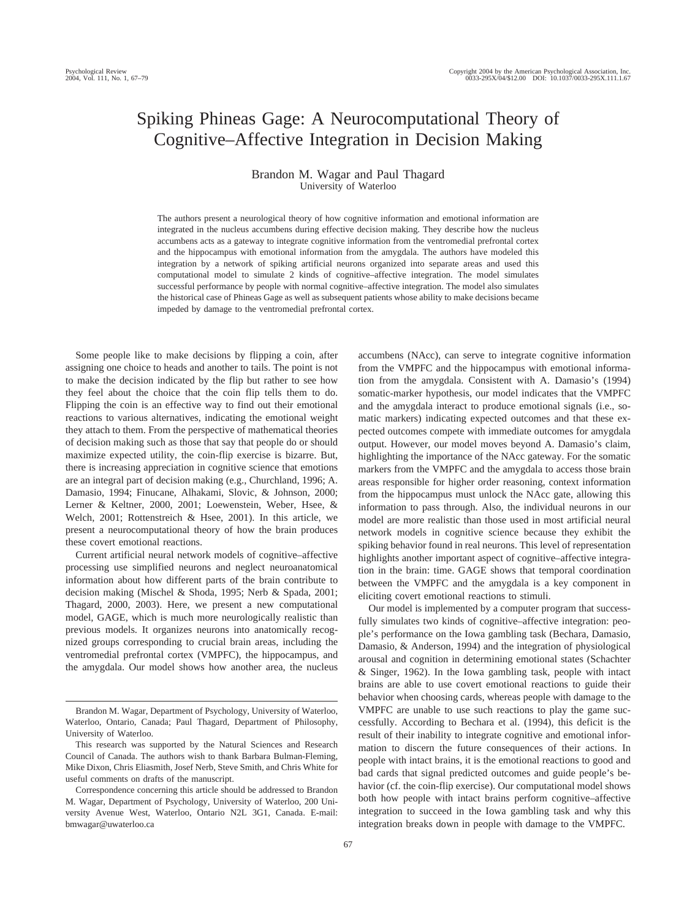# Spiking Phineas Gage: A Neurocomputational Theory of Cognitive–Affective Integration in Decision Making

## Brandon M. Wagar and Paul Thagard

University of Waterloo

The authors present a neurological theory of how cognitive information and emotional information are integrated in the nucleus accumbens during effective decision making. They describe how the nucleus accumbens acts as a gateway to integrate cognitive information from the ventromedial prefrontal cortex and the hippocampus with emotional information from the amygdala. The authors have modeled this integration by a network of spiking artificial neurons organized into separate areas and used this computational model to simulate 2 kinds of cognitive–affective integration. The model simulates successful performance by people with normal cognitive–affective integration. The model also simulates the historical case of Phineas Gage as well as subsequent patients whose ability to make decisions became impeded by damage to the ventromedial prefrontal cortex.

Some people like to make decisions by flipping a coin, after assigning one choice to heads and another to tails. The point is not to make the decision indicated by the flip but rather to see how they feel about the choice that the coin flip tells them to do. Flipping the coin is an effective way to find out their emotional reactions to various alternatives, indicating the emotional weight they attach to them. From the perspective of mathematical theories of decision making such as those that say that people do or should maximize expected utility, the coin-flip exercise is bizarre. But, there is increasing appreciation in cognitive science that emotions are an integral part of decision making (e.g., Churchland, 1996; A. Damasio, 1994; Finucane, Alhakami, Slovic, & Johnson, 2000; Lerner & Keltner, 2000, 2001; Loewenstein, Weber, Hsee, & Welch, 2001; Rottenstreich & Hsee, 2001). In this article, we present a neurocomputational theory of how the brain produces these covert emotional reactions.

Current artificial neural network models of cognitive–affective processing use simplified neurons and neglect neuroanatomical information about how different parts of the brain contribute to decision making (Mischel & Shoda, 1995; Nerb & Spada, 2001; Thagard, 2000, 2003). Here, we present a new computational model, GAGE, which is much more neurologically realistic than previous models. It organizes neurons into anatomically recognized groups corresponding to crucial brain areas, including the ventromedial prefrontal cortex (VMPFC), the hippocampus, and the amygdala. Our model shows how another area, the nucleus

Correspondence concerning this article should be addressed to Brandon M. Wagar, Department of Psychology, University of Waterloo, 200 University Avenue West, Waterloo, Ontario N2L 3G1, Canada. E-mail: bmwagar@uwaterloo.ca

accumbens (NAcc), can serve to integrate cognitive information from the VMPFC and the hippocampus with emotional information from the amygdala. Consistent with A. Damasio's (1994) somatic-marker hypothesis, our model indicates that the VMPFC and the amygdala interact to produce emotional signals (i.e., somatic markers) indicating expected outcomes and that these expected outcomes compete with immediate outcomes for amygdala output. However, our model moves beyond A. Damasio's claim, highlighting the importance of the NAcc gateway. For the somatic markers from the VMPFC and the amygdala to access those brain areas responsible for higher order reasoning, context information from the hippocampus must unlock the NAcc gate, allowing this information to pass through. Also, the individual neurons in our model are more realistic than those used in most artificial neural network models in cognitive science because they exhibit the spiking behavior found in real neurons. This level of representation highlights another important aspect of cognitive–affective integration in the brain: time. GAGE shows that temporal coordination between the VMPFC and the amygdala is a key component in eliciting covert emotional reactions to stimuli.

Our model is implemented by a computer program that successfully simulates two kinds of cognitive–affective integration: people's performance on the Iowa gambling task (Bechara, Damasio, Damasio, & Anderson, 1994) and the integration of physiological arousal and cognition in determining emotional states (Schachter & Singer, 1962). In the Iowa gambling task, people with intact brains are able to use covert emotional reactions to guide their behavior when choosing cards, whereas people with damage to the VMPFC are unable to use such reactions to play the game successfully. According to Bechara et al. (1994), this deficit is the result of their inability to integrate cognitive and emotional information to discern the future consequences of their actions. In people with intact brains, it is the emotional reactions to good and bad cards that signal predicted outcomes and guide people's behavior (cf. the coin-flip exercise). Our computational model shows both how people with intact brains perform cognitive–affective integration to succeed in the Iowa gambling task and why this integration breaks down in people with damage to the VMPFC.

Brandon M. Wagar, Department of Psychology, University of Waterloo, Waterloo, Ontario, Canada; Paul Thagard, Department of Philosophy, University of Waterloo.

This research was supported by the Natural Sciences and Research Council of Canada. The authors wish to thank Barbara Bulman-Fleming, Mike Dixon, Chris Eliasmith, Josef Nerb, Steve Smith, and Chris White for useful comments on drafts of the manuscript.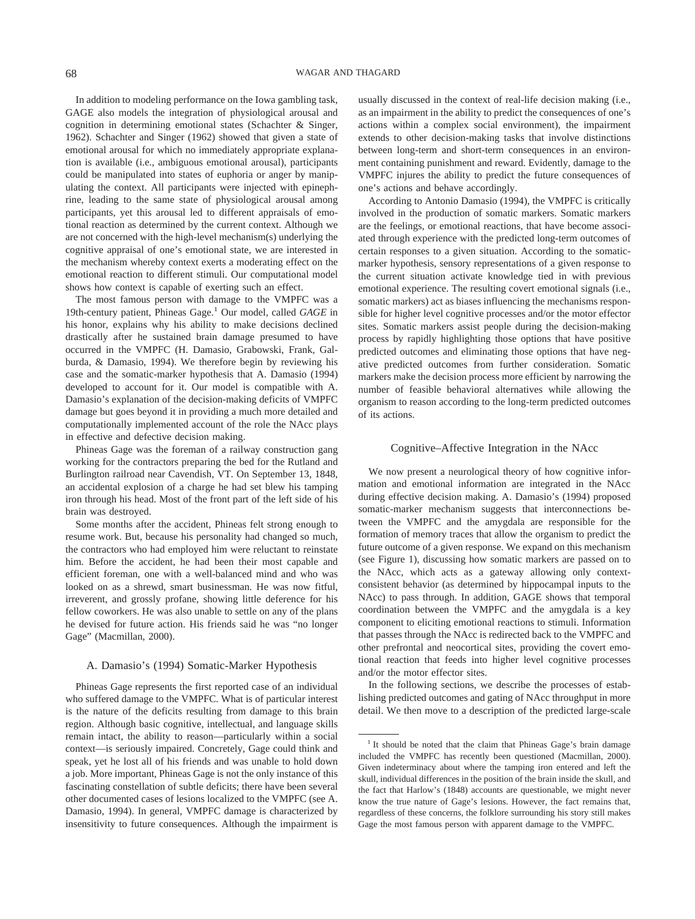In addition to modeling performance on the Iowa gambling task, GAGE also models the integration of physiological arousal and cognition in determining emotional states (Schachter & Singer, 1962). Schachter and Singer (1962) showed that given a state of emotional arousal for which no immediately appropriate explanation is available (i.e., ambiguous emotional arousal), participants could be manipulated into states of euphoria or anger by manipulating the context. All participants were injected with epinephrine, leading to the same state of physiological arousal among participants, yet this arousal led to different appraisals of emotional reaction as determined by the current context. Although we are not concerned with the high-level mechanism(s) underlying the cognitive appraisal of one's emotional state, we are interested in the mechanism whereby context exerts a moderating effect on the emotional reaction to different stimuli. Our computational model shows how context is capable of exerting such an effect.

The most famous person with damage to the VMPFC was a 19th-century patient, Phineas Gage.<sup>1</sup> Our model, called *GAGE* in his honor, explains why his ability to make decisions declined drastically after he sustained brain damage presumed to have occurred in the VMPFC (H. Damasio, Grabowski, Frank, Galburda, & Damasio, 1994). We therefore begin by reviewing his case and the somatic-marker hypothesis that A. Damasio (1994) developed to account for it. Our model is compatible with A. Damasio's explanation of the decision-making deficits of VMPFC damage but goes beyond it in providing a much more detailed and computationally implemented account of the role the NAcc plays in effective and defective decision making.

Phineas Gage was the foreman of a railway construction gang working for the contractors preparing the bed for the Rutland and Burlington railroad near Cavendish, VT. On September 13, 1848, an accidental explosion of a charge he had set blew his tamping iron through his head. Most of the front part of the left side of his brain was destroyed.

Some months after the accident, Phineas felt strong enough to resume work. But, because his personality had changed so much, the contractors who had employed him were reluctant to reinstate him. Before the accident, he had been their most capable and efficient foreman, one with a well-balanced mind and who was looked on as a shrewd, smart businessman. He was now fitful, irreverent, and grossly profane, showing little deference for his fellow coworkers. He was also unable to settle on any of the plans he devised for future action. His friends said he was "no longer Gage" (Macmillan, 2000).

#### A. Damasio's (1994) Somatic-Marker Hypothesis

Phineas Gage represents the first reported case of an individual who suffered damage to the VMPFC. What is of particular interest is the nature of the deficits resulting from damage to this brain region. Although basic cognitive, intellectual, and language skills remain intact, the ability to reason—particularly within a social context—is seriously impaired. Concretely, Gage could think and speak, yet he lost all of his friends and was unable to hold down a job. More important, Phineas Gage is not the only instance of this fascinating constellation of subtle deficits; there have been several other documented cases of lesions localized to the VMPFC (see A. Damasio, 1994). In general, VMPFC damage is characterized by insensitivity to future consequences. Although the impairment is usually discussed in the context of real-life decision making (i.e., as an impairment in the ability to predict the consequences of one's actions within a complex social environment), the impairment extends to other decision-making tasks that involve distinctions between long-term and short-term consequences in an environment containing punishment and reward. Evidently, damage to the VMPFC injures the ability to predict the future consequences of one's actions and behave accordingly.

According to Antonio Damasio (1994), the VMPFC is critically involved in the production of somatic markers. Somatic markers are the feelings, or emotional reactions, that have become associated through experience with the predicted long-term outcomes of certain responses to a given situation. According to the somaticmarker hypothesis, sensory representations of a given response to the current situation activate knowledge tied in with previous emotional experience. The resulting covert emotional signals (i.e., somatic markers) act as biases influencing the mechanisms responsible for higher level cognitive processes and/or the motor effector sites. Somatic markers assist people during the decision-making process by rapidly highlighting those options that have positive predicted outcomes and eliminating those options that have negative predicted outcomes from further consideration. Somatic markers make the decision process more efficient by narrowing the number of feasible behavioral alternatives while allowing the organism to reason according to the long-term predicted outcomes of its actions.

#### Cognitive–Affective Integration in the NAcc

We now present a neurological theory of how cognitive information and emotional information are integrated in the NAcc during effective decision making. A. Damasio's (1994) proposed somatic-marker mechanism suggests that interconnections between the VMPFC and the amygdala are responsible for the formation of memory traces that allow the organism to predict the future outcome of a given response. We expand on this mechanism (see Figure 1), discussing how somatic markers are passed on to the NAcc, which acts as a gateway allowing only contextconsistent behavior (as determined by hippocampal inputs to the NAcc) to pass through. In addition, GAGE shows that temporal coordination between the VMPFC and the amygdala is a key component to eliciting emotional reactions to stimuli. Information that passes through the NAcc is redirected back to the VMPFC and other prefrontal and neocortical sites, providing the covert emotional reaction that feeds into higher level cognitive processes and/or the motor effector sites.

In the following sections, we describe the processes of establishing predicted outcomes and gating of NAcc throughput in more detail. We then move to a description of the predicted large-scale

<sup>&</sup>lt;sup>1</sup> It should be noted that the claim that Phineas Gage's brain damage included the VMPFC has recently been questioned (Macmillan, 2000). Given indeterminacy about where the tamping iron entered and left the skull, individual differences in the position of the brain inside the skull, and the fact that Harlow's (1848) accounts are questionable, we might never know the true nature of Gage's lesions. However, the fact remains that, regardless of these concerns, the folklore surrounding his story still makes Gage the most famous person with apparent damage to the VMPFC.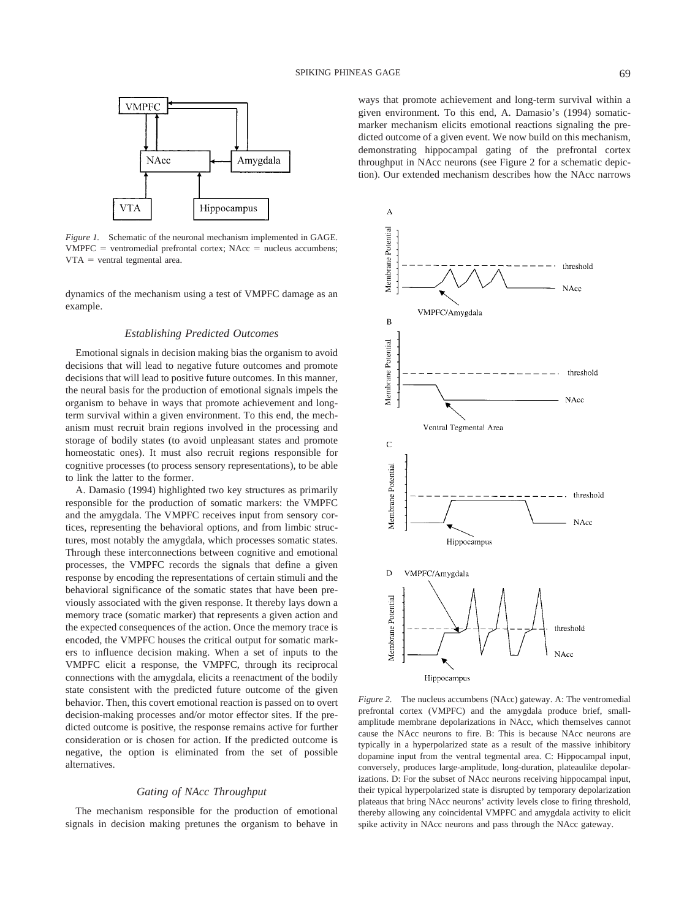

*Figure 1.* Schematic of the neuronal mechanism implemented in GAGE.  $VMPFC = ventromedial prefrontal cortex; NAcc = nucleus accumbens;$  $VTA$  = ventral tegmental area.

dynamics of the mechanism using a test of VMPFC damage as an example.

#### *Establishing Predicted Outcomes*

Emotional signals in decision making bias the organism to avoid decisions that will lead to negative future outcomes and promote decisions that will lead to positive future outcomes. In this manner, the neural basis for the production of emotional signals impels the organism to behave in ways that promote achievement and longterm survival within a given environment. To this end, the mechanism must recruit brain regions involved in the processing and storage of bodily states (to avoid unpleasant states and promote homeostatic ones). It must also recruit regions responsible for cognitive processes (to process sensory representations), to be able to link the latter to the former.

A. Damasio (1994) highlighted two key structures as primarily responsible for the production of somatic markers: the VMPFC and the amygdala. The VMPFC receives input from sensory cortices, representing the behavioral options, and from limbic structures, most notably the amygdala, which processes somatic states. Through these interconnections between cognitive and emotional processes, the VMPFC records the signals that define a given response by encoding the representations of certain stimuli and the behavioral significance of the somatic states that have been previously associated with the given response. It thereby lays down a memory trace (somatic marker) that represents a given action and the expected consequences of the action. Once the memory trace is encoded, the VMPFC houses the critical output for somatic markers to influence decision making. When a set of inputs to the VMPFC elicit a response, the VMPFC, through its reciprocal connections with the amygdala, elicits a reenactment of the bodily state consistent with the predicted future outcome of the given behavior. Then, this covert emotional reaction is passed on to overt decision-making processes and/or motor effector sites. If the predicted outcome is positive, the response remains active for further consideration or is chosen for action. If the predicted outcome is negative, the option is eliminated from the set of possible alternatives.

#### *Gating of NAcc Throughput*

The mechanism responsible for the production of emotional signals in decision making pretunes the organism to behave in ways that promote achievement and long-term survival within a given environment. To this end, A. Damasio's (1994) somaticmarker mechanism elicits emotional reactions signaling the predicted outcome of a given event. We now build on this mechanism, demonstrating hippocampal gating of the prefrontal cortex throughput in NAcc neurons (see Figure 2 for a schematic depiction). Our extended mechanism describes how the NAcc narrows



*Figure 2.* The nucleus accumbens (NAcc) gateway. A: The ventromedial prefrontal cortex (VMPFC) and the amygdala produce brief, smallamplitude membrane depolarizations in NAcc, which themselves cannot cause the NAcc neurons to fire. B: This is because NAcc neurons are typically in a hyperpolarized state as a result of the massive inhibitory dopamine input from the ventral tegmental area. C: Hippocampal input, conversely, produces large-amplitude, long-duration, plateaulike depolarizations. D: For the subset of NAcc neurons receiving hippocampal input, their typical hyperpolarized state is disrupted by temporary depolarization plateaus that bring NAcc neurons' activity levels close to firing threshold, thereby allowing any coincidental VMPFC and amygdala activity to elicit spike activity in NAcc neurons and pass through the NAcc gateway.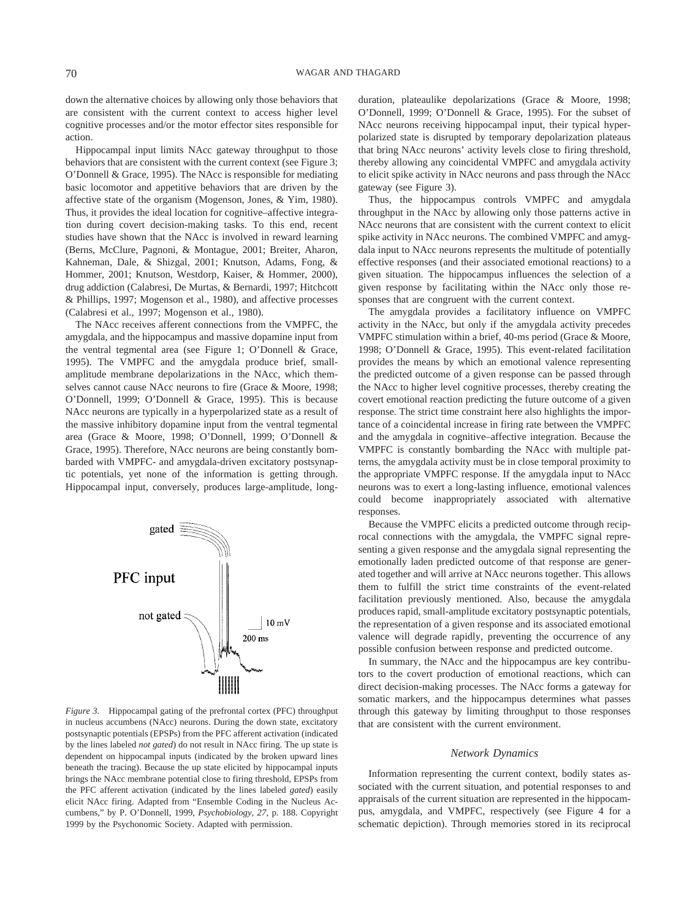down the alternative choices by allowing only those behaviors that are consistent with the current context to access higher level cognitive processes and/or the motor effector sites responsible for action.

Hippocampal input limits NAcc gateway throughput to those behaviors that are consistent with the current context (see Figure 3; O'Donnell & Grace, 1995). The NAcc is responsible for mediating basic locomotor and appetitive behaviors that are driven by the affective state of the organism (Mogenson, Jones, & Yim, 1980). Thus, it provides the ideal location for cognitive–affective integration during covert decision-making tasks. To this end, recent studies have shown that the NAcc is involved in reward learning (Berns, McClure, Pagnoni, & Montague, 2001; Breiter, Aharon, Kahneman, Dale, & Shizgal, 2001; Knutson, Adams, Fong, & Hommer, 2001; Knutson, Westdorp, Kaiser, & Hommer, 2000), drug addiction (Calabresi, De Murtas, & Bernardi, 1997; Hitchcott & Phillips, 1997; Mogenson et al., 1980), and affective processes (Calabresi et al., 1997; Mogenson et al., 1980).

The NAcc receives afferent connections from the VMPFC, the amygdala, and the hippocampus and massive dopamine input from the ventral tegmental area (see Figure 1; O'Donnell & Grace, 1995). The VMPFC and the amygdala produce brief, smallamplitude membrane depolarizations in the NAcc, which themselves cannot cause NAcc neurons to fire (Grace & Moore, 1998; O'Donnell, 1999; O'Donnell & Grace, 1995). This is because NAcc neurons are typically in a hyperpolarized state as a result of the massive inhibitory dopamine input from the ventral tegmental area (Grace & Moore, 1998; O'Donnell, 1999; O'Donnell & Grace, 1995). Therefore, NAcc neurons are being constantly bombarded with VMPFC- and amygdala-driven excitatory postsynaptic potentials, yet none of the information is getting through. Hippocampal input, conversely, produces large-amplitude, long-



*Figure 3.* Hippocampal gating of the prefrontal cortex (PFC) throughput in nucleus accumbens (NAcc) neurons. During the down state, excitatory postsynaptic potentials (EPSPs) from the PFC afferent activation (indicated by the lines labeled *not gated*) do not result in NAcc firing. The up state is dependent on hippocampal inputs (indicated by the broken upward lines beneath the tracing). Because the up state elicited by hippocampal inputs brings the NAcc membrane potential close to firing threshold, EPSPs from the PFC afferent activation (indicated by the lines labeled *gated*) easily elicit NAcc firing. Adapted from "Ensemble Coding in the Nucleus Accumbens," by P. O'Donnell, 1999, *Psychobiology, 27,* p. 188. Copyright 1999 by the Psychonomic Society. Adapted with permission.

duration, plateaulike depolarizations (Grace & Moore, 1998; O'Donnell, 1999; O'Donnell & Grace, 1995). For the subset of NAcc neurons receiving hippocampal input, their typical hyperpolarized state is disrupted by temporary depolarization plateaus that bring NAcc neurons' activity levels close to firing threshold, thereby allowing any coincidental VMPFC and amygdala activity to elicit spike activity in NAcc neurons and pass through the NAcc gateway (see Figure 3).

Thus, the hippocampus controls VMPFC and amygdala throughput in the NAcc by allowing only those patterns active in NAcc neurons that are consistent with the current context to elicit spike activity in NAcc neurons. The combined VMPFC and amygdala input to NAcc neurons represents the multitude of potentially effective responses (and their associated emotional reactions) to a given situation. The hippocampus influences the selection of a given response by facilitating within the NAcc only those responses that are congruent with the current context.

The amygdala provides a facilitatory influence on VMPFC activity in the NAcc, but only if the amygdala activity precedes VMPFC stimulation within a brief, 40-ms period (Grace & Moore, 1998; O'Donnell & Grace, 1995). This event-related facilitation provides the means by which an emotional valence representing the predicted outcome of a given response can be passed through the NAcc to higher level cognitive processes, thereby creating the covert emotional reaction predicting the future outcome of a given response. The strict time constraint here also highlights the importance of a coincidental increase in firing rate between the VMPFC and the amygdala in cognitive–affective integration. Because the VMPFC is constantly bombarding the NAcc with multiple patterns, the amygdala activity must be in close temporal proximity to the appropriate VMPFC response. If the amygdala input to NAcc neurons was to exert a long-lasting influence, emotional valences could become inappropriately associated with alternative responses.

Because the VMPFC elicits a predicted outcome through reciprocal connections with the amygdala, the VMPFC signal representing a given response and the amygdala signal representing the emotionally laden predicted outcome of that response are generated together and will arrive at NAcc neurons together. This allows them to fulfill the strict time constraints of the event-related facilitation previously mentioned. Also, because the amygdala produces rapid, small-amplitude excitatory postsynaptic potentials, the representation of a given response and its associated emotional valence will degrade rapidly, preventing the occurrence of any possible confusion between response and predicted outcome.

In summary, the NAcc and the hippocampus are key contributors to the covert production of emotional reactions, which can direct decision-making processes. The NAcc forms a gateway for somatic markers, and the hippocampus determines what passes through this gateway by limiting throughput to those responses that are consistent with the current environment.

#### *Network Dynamics*

Information representing the current context, bodily states associated with the current situation, and potential responses to and appraisals of the current situation are represented in the hippocampus, amygdala, and VMPFC, respectively (see Figure 4 for a schematic depiction). Through memories stored in its reciprocal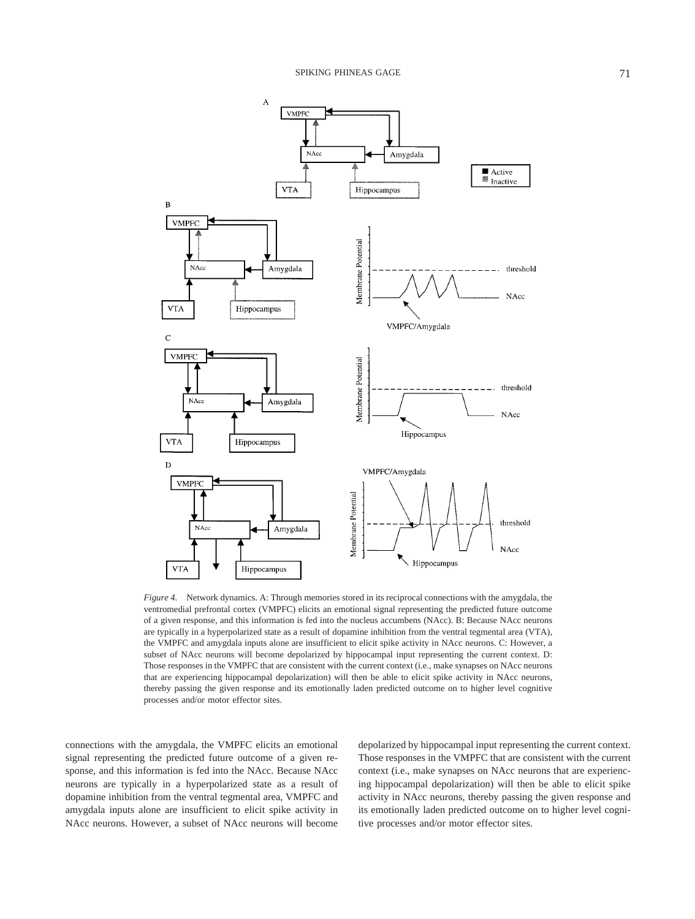

*Figure 4.* Network dynamics. A: Through memories stored in its reciprocal connections with the amygdala, the ventromedial prefrontal cortex (VMPFC) elicits an emotional signal representing the predicted future outcome of a given response, and this information is fed into the nucleus accumbens (NAcc). B: Because NAcc neurons are typically in a hyperpolarized state as a result of dopamine inhibition from the ventral tegmental area (VTA), the VMPFC and amygdala inputs alone are insufficient to elicit spike activity in NAcc neurons. C: However, a subset of NAcc neurons will become depolarized by hippocampal input representing the current context. D: Those responses in the VMPFC that are consistent with the current context (i.e., make synapses on NAcc neurons that are experiencing hippocampal depolarization) will then be able to elicit spike activity in NAcc neurons, thereby passing the given response and its emotionally laden predicted outcome on to higher level cognitive processes and/or motor effector sites.

connections with the amygdala, the VMPFC elicits an emotional signal representing the predicted future outcome of a given response, and this information is fed into the NAcc. Because NAcc neurons are typically in a hyperpolarized state as a result of dopamine inhibition from the ventral tegmental area, VMPFC and amygdala inputs alone are insufficient to elicit spike activity in NAcc neurons. However, a subset of NAcc neurons will become

depolarized by hippocampal input representing the current context. Those responses in the VMPFC that are consistent with the current context (i.e., make synapses on NAcc neurons that are experiencing hippocampal depolarization) will then be able to elicit spike activity in NAcc neurons, thereby passing the given response and its emotionally laden predicted outcome on to higher level cognitive processes and/or motor effector sites.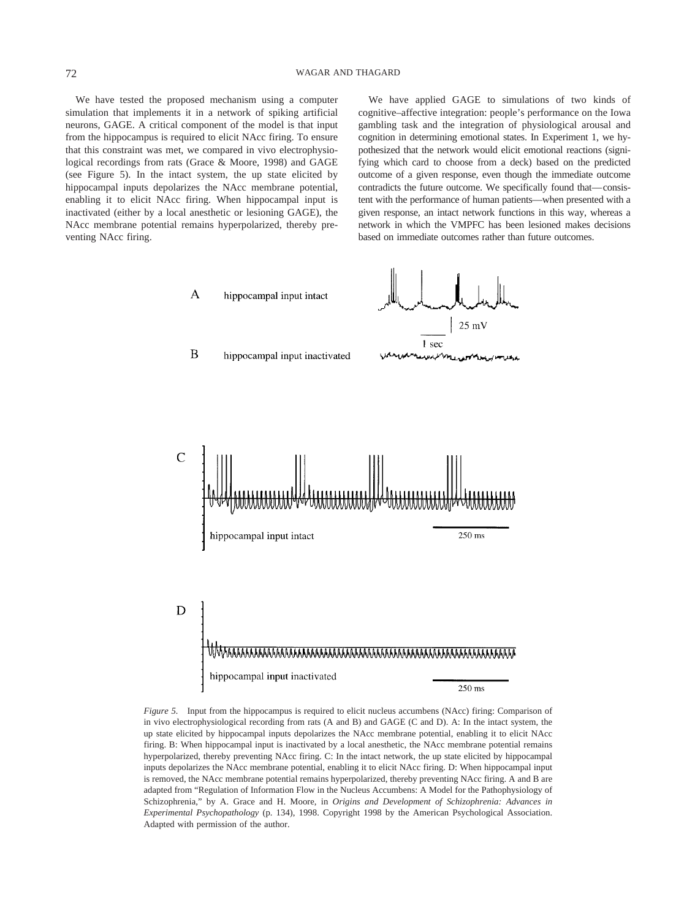We have tested the proposed mechanism using a computer simulation that implements it in a network of spiking artificial neurons, GAGE. A critical component of the model is that input from the hippocampus is required to elicit NAcc firing. To ensure that this constraint was met, we compared in vivo electrophysiological recordings from rats (Grace & Moore, 1998) and GAGE (see Figure 5). In the intact system, the up state elicited by hippocampal inputs depolarizes the NAcc membrane potential, enabling it to elicit NAcc firing. When hippocampal input is inactivated (either by a local anesthetic or lesioning GAGE), the NAcc membrane potential remains hyperpolarized, thereby preventing NAcc firing.

We have applied GAGE to simulations of two kinds of cognitive–affective integration: people's performance on the Iowa gambling task and the integration of physiological arousal and cognition in determining emotional states. In Experiment 1, we hypothesized that the network would elicit emotional reactions (signifying which card to choose from a deck) based on the predicted outcome of a given response, even though the immediate outcome contradicts the future outcome. We specifically found that—consistent with the performance of human patients—when presented with a given response, an intact network functions in this way, whereas a network in which the VMPFC has been lesioned makes decisions based on immediate outcomes rather than future outcomes.



*Figure 5.* Input from the hippocampus is required to elicit nucleus accumbens (NAcc) firing: Comparison of in vivo electrophysiological recording from rats (A and B) and GAGE (C and D). A: In the intact system, the up state elicited by hippocampal inputs depolarizes the NAcc membrane potential, enabling it to elicit NAcc firing. B: When hippocampal input is inactivated by a local anesthetic, the NAcc membrane potential remains hyperpolarized, thereby preventing NAcc firing. C: In the intact network, the up state elicited by hippocampal inputs depolarizes the NAcc membrane potential, enabling it to elicit NAcc firing. D: When hippocampal input is removed, the NAcc membrane potential remains hyperpolarized, thereby preventing NAcc firing. A and B are adapted from "Regulation of Information Flow in the Nucleus Accumbens: A Model for the Pathophysiology of Schizophrenia," by A. Grace and H. Moore, in *Origins and Development of Schizophrenia: Advances in Experimental Psychopathology* (p. 134), 1998. Copyright 1998 by the American Psychological Association. Adapted with permission of the author.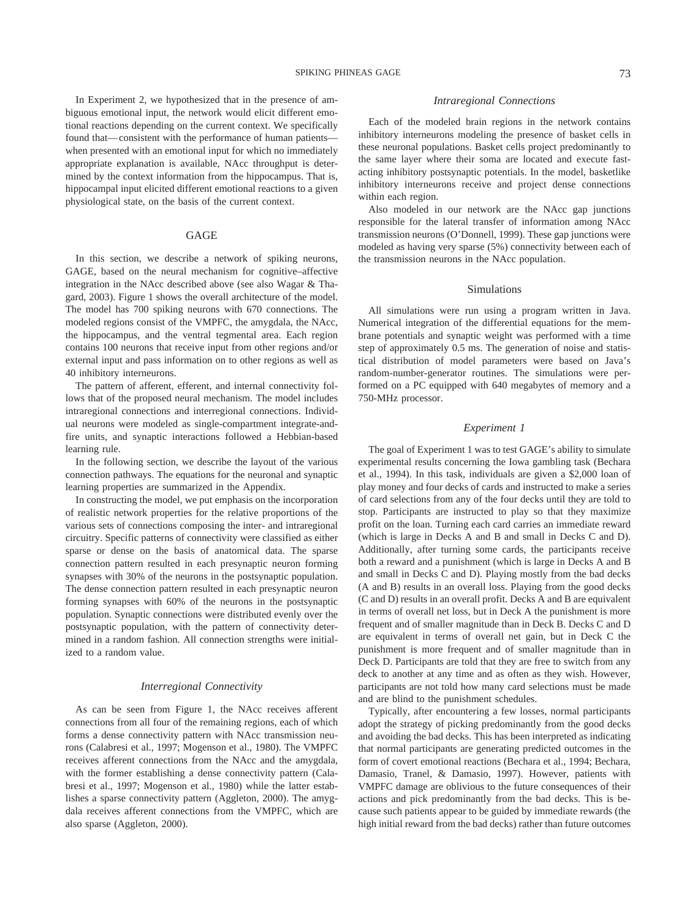In Experiment 2, we hypothesized that in the presence of ambiguous emotional input, the network would elicit different emotional reactions depending on the current context. We specifically found that—consistent with the performance of human patients when presented with an emotional input for which no immediately appropriate explanation is available, NAcc throughput is determined by the context information from the hippocampus. That is, hippocampal input elicited different emotional reactions to a given physiological state, on the basis of the current context.

## GAGE

In this section, we describe a network of spiking neurons, GAGE, based on the neural mechanism for cognitive–affective integration in the NAcc described above (see also Wagar & Thagard, 2003). Figure 1 shows the overall architecture of the model. The model has 700 spiking neurons with 670 connections. The modeled regions consist of the VMPFC, the amygdala, the NAcc, the hippocampus, and the ventral tegmental area. Each region contains 100 neurons that receive input from other regions and/or external input and pass information on to other regions as well as 40 inhibitory interneurons.

The pattern of afferent, efferent, and internal connectivity follows that of the proposed neural mechanism. The model includes intraregional connections and interregional connections. Individual neurons were modeled as single-compartment integrate-andfire units, and synaptic interactions followed a Hebbian-based learning rule.

In the following section, we describe the layout of the various connection pathways. The equations for the neuronal and synaptic learning properties are summarized in the Appendix.

In constructing the model, we put emphasis on the incorporation of realistic network properties for the relative proportions of the various sets of connections composing the inter- and intraregional circuitry. Specific patterns of connectivity were classified as either sparse or dense on the basis of anatomical data. The sparse connection pattern resulted in each presynaptic neuron forming synapses with 30% of the neurons in the postsynaptic population. The dense connection pattern resulted in each presynaptic neuron forming synapses with 60% of the neurons in the postsynaptic population. Synaptic connections were distributed evenly over the postsynaptic population, with the pattern of connectivity determined in a random fashion. All connection strengths were initialized to a random value.

#### *Interregional Connectivity*

As can be seen from Figure 1, the NAcc receives afferent connections from all four of the remaining regions, each of which forms a dense connectivity pattern with NAcc transmission neurons (Calabresi et al., 1997; Mogenson et al., 1980). The VMPFC receives afferent connections from the NAcc and the amygdala, with the former establishing a dense connectivity pattern (Calabresi et al., 1997; Mogenson et al., 1980) while the latter establishes a sparse connectivity pattern (Aggleton, 2000). The amygdala receives afferent connections from the VMPFC, which are also sparse (Aggleton, 2000).

#### *Intraregional Connections*

Each of the modeled brain regions in the network contains inhibitory interneurons modeling the presence of basket cells in these neuronal populations. Basket cells project predominantly to the same layer where their soma are located and execute fastacting inhibitory postsynaptic potentials. In the model, basketlike inhibitory interneurons receive and project dense connections within each region.

Also modeled in our network are the NAcc gap junctions responsible for the lateral transfer of information among NAcc transmission neurons (O'Donnell, 1999). These gap junctions were modeled as having very sparse (5%) connectivity between each of the transmission neurons in the NAcc population.

#### Simulations

All simulations were run using a program written in Java. Numerical integration of the differential equations for the membrane potentials and synaptic weight was performed with a time step of approximately 0.5 ms. The generation of noise and statistical distribution of model parameters were based on Java's random-number-generator routines. The simulations were performed on a PC equipped with 640 megabytes of memory and a 750-MHz processor.

## *Experiment 1*

The goal of Experiment 1 was to test GAGE's ability to simulate experimental results concerning the Iowa gambling task (Bechara et al., 1994). In this task, individuals are given a \$2,000 loan of play money and four decks of cards and instructed to make a series of card selections from any of the four decks until they are told to stop. Participants are instructed to play so that they maximize profit on the loan. Turning each card carries an immediate reward (which is large in Decks A and B and small in Decks C and D). Additionally, after turning some cards, the participants receive both a reward and a punishment (which is large in Decks A and B and small in Decks C and D). Playing mostly from the bad decks (A and B) results in an overall loss. Playing from the good decks (C and D) results in an overall profit. Decks A and B are equivalent in terms of overall net loss, but in Deck A the punishment is more frequent and of smaller magnitude than in Deck B. Decks C and D are equivalent in terms of overall net gain, but in Deck C the punishment is more frequent and of smaller magnitude than in Deck D. Participants are told that they are free to switch from any deck to another at any time and as often as they wish. However, participants are not told how many card selections must be made and are blind to the punishment schedules.

Typically, after encountering a few losses, normal participants adopt the strategy of picking predominantly from the good decks and avoiding the bad decks. This has been interpreted as indicating that normal participants are generating predicted outcomes in the form of covert emotional reactions (Bechara et al., 1994; Bechara, Damasio, Tranel, & Damasio, 1997). However, patients with VMPFC damage are oblivious to the future consequences of their actions and pick predominantly from the bad decks. This is because such patients appear to be guided by immediate rewards (the high initial reward from the bad decks) rather than future outcomes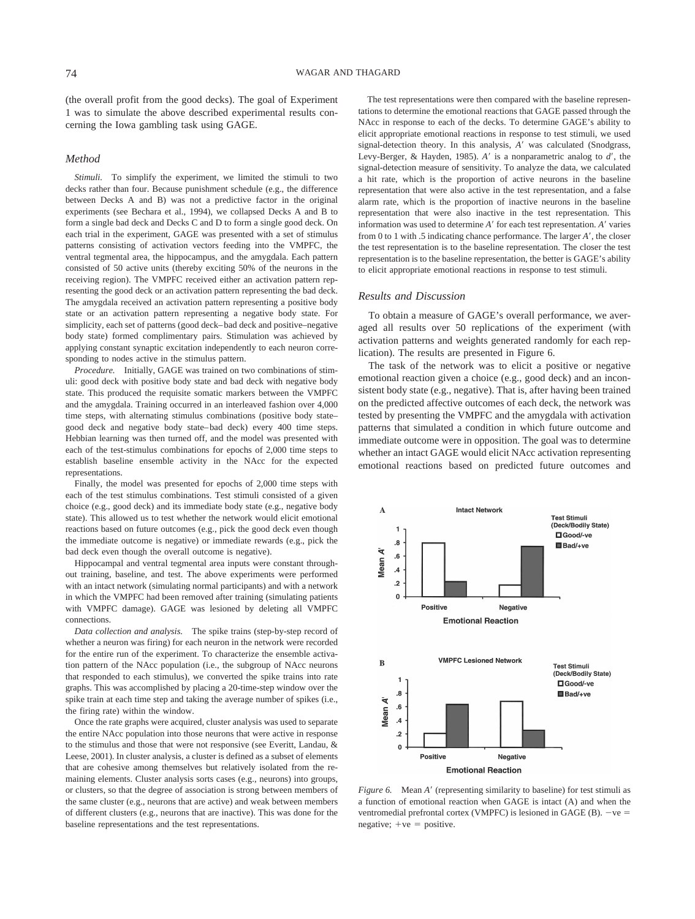(the overall profit from the good decks). The goal of Experiment 1 was to simulate the above described experimental results concerning the Iowa gambling task using GAGE.

#### *Method*

*Stimuli.* To simplify the experiment, we limited the stimuli to two decks rather than four. Because punishment schedule (e.g., the difference between Decks A and B) was not a predictive factor in the original experiments (see Bechara et al., 1994), we collapsed Decks A and B to form a single bad deck and Decks C and D to form a single good deck. On each trial in the experiment, GAGE was presented with a set of stimulus patterns consisting of activation vectors feeding into the VMPFC, the ventral tegmental area, the hippocampus, and the amygdala. Each pattern consisted of 50 active units (thereby exciting 50% of the neurons in the receiving region). The VMPFC received either an activation pattern representing the good deck or an activation pattern representing the bad deck. The amygdala received an activation pattern representing a positive body state or an activation pattern representing a negative body state. For simplicity, each set of patterns (good deck–bad deck and positive–negative body state) formed complimentary pairs. Stimulation was achieved by applying constant synaptic excitation independently to each neuron corresponding to nodes active in the stimulus pattern.

*Procedure.* Initially, GAGE was trained on two combinations of stimuli: good deck with positive body state and bad deck with negative body state. This produced the requisite somatic markers between the VMPFC and the amygdala. Training occurred in an interleaved fashion over 4,000 time steps, with alternating stimulus combinations (positive body state– good deck and negative body state–bad deck) every 400 time steps. Hebbian learning was then turned off, and the model was presented with each of the test-stimulus combinations for epochs of 2,000 time steps to establish baseline ensemble activity in the NAcc for the expected representations.

Finally, the model was presented for epochs of 2,000 time steps with each of the test stimulus combinations. Test stimuli consisted of a given choice (e.g., good deck) and its immediate body state (e.g., negative body state). This allowed us to test whether the network would elicit emotional reactions based on future outcomes (e.g., pick the good deck even though the immediate outcome is negative) or immediate rewards (e.g., pick the bad deck even though the overall outcome is negative).

Hippocampal and ventral tegmental area inputs were constant throughout training, baseline, and test. The above experiments were performed with an intact network (simulating normal participants) and with a network in which the VMPFC had been removed after training (simulating patients with VMPFC damage). GAGE was lesioned by deleting all VMPFC connections.

*Data collection and analysis.* The spike trains (step-by-step record of whether a neuron was firing) for each neuron in the network were recorded for the entire run of the experiment. To characterize the ensemble activation pattern of the NAcc population (i.e., the subgroup of NAcc neurons that responded to each stimulus), we converted the spike trains into rate graphs. This was accomplished by placing a 20-time-step window over the spike train at each time step and taking the average number of spikes (i.e., the firing rate) within the window.

Once the rate graphs were acquired, cluster analysis was used to separate the entire NAcc population into those neurons that were active in response to the stimulus and those that were not responsive (see Everitt, Landau, & Leese, 2001). In cluster analysis, a cluster is defined as a subset of elements that are cohesive among themselves but relatively isolated from the remaining elements. Cluster analysis sorts cases (e.g., neurons) into groups, or clusters, so that the degree of association is strong between members of the same cluster (e.g., neurons that are active) and weak between members of different clusters (e.g., neurons that are inactive). This was done for the baseline representations and the test representations.

The test representations were then compared with the baseline representations to determine the emotional reactions that GAGE passed through the NAcc in response to each of the decks. To determine GAGE's ability to elicit appropriate emotional reactions in response to test stimuli, we used signal-detection theory. In this analysis, A' was calculated (Snodgrass, Levy-Berger, & Hayden, 1985). A' is a nonparametric analog to d', the signal-detection measure of sensitivity. To analyze the data, we calculated a hit rate, which is the proportion of active neurons in the baseline representation that were also active in the test representation, and a false alarm rate, which is the proportion of inactive neurons in the baseline representation that were also inactive in the test representation. This information was used to determine A<sup>'</sup> for each test representation. A<sup>'</sup> varies from 0 to 1 with .5 indicating chance performance. The larger A', the closer the test representation is to the baseline representation. The closer the test representation is to the baseline representation, the better is GAGE's ability to elicit appropriate emotional reactions in response to test stimuli.

#### *Results and Discussion*

To obtain a measure of GAGE's overall performance, we averaged all results over 50 replications of the experiment (with activation patterns and weights generated randomly for each replication). The results are presented in Figure 6.

The task of the network was to elicit a positive or negative emotional reaction given a choice (e.g., good deck) and an inconsistent body state (e.g., negative). That is, after having been trained on the predicted affective outcomes of each deck, the network was tested by presenting the VMPFC and the amygdala with activation patterns that simulated a condition in which future outcome and immediate outcome were in opposition. The goal was to determine whether an intact GAGE would elicit NAcc activation representing emotional reactions based on predicted future outcomes and



*Figure 6.* Mean *A'* (representing similarity to baseline) for test stimuli as a function of emotional reaction when GAGE is intact (A) and when the ventromedial prefrontal cortex (VMPFC) is lesioned in GAGE (B).  $-ve =$ negative;  $+ve = positive$ .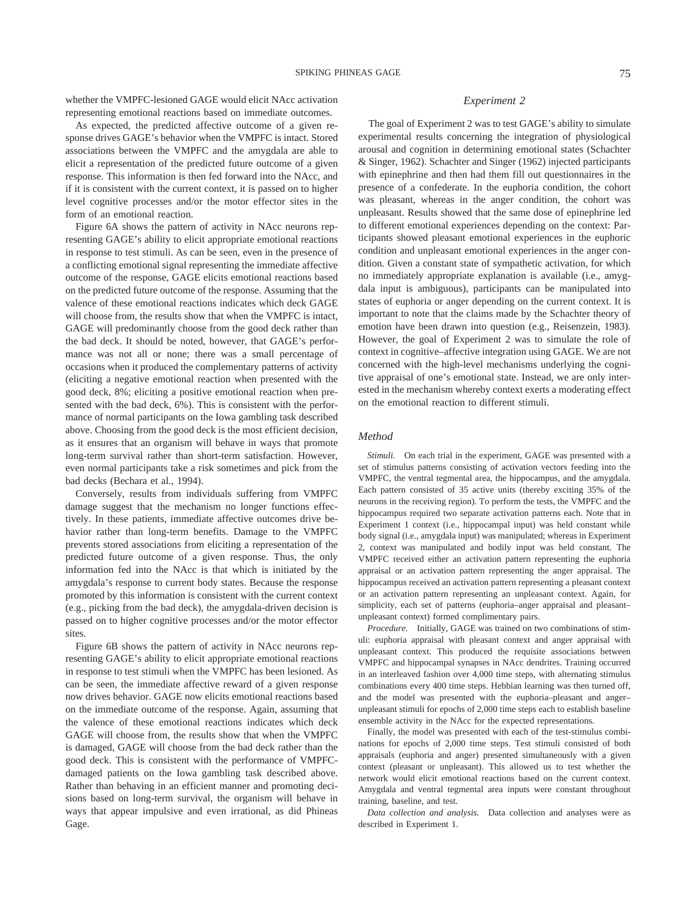whether the VMPFC-lesioned GAGE would elicit NAcc activation representing emotional reactions based on immediate outcomes.

As expected, the predicted affective outcome of a given response drives GAGE's behavior when the VMPFC is intact. Stored associations between the VMPFC and the amygdala are able to elicit a representation of the predicted future outcome of a given response. This information is then fed forward into the NAcc, and if it is consistent with the current context, it is passed on to higher level cognitive processes and/or the motor effector sites in the form of an emotional reaction.

Figure 6A shows the pattern of activity in NAcc neurons representing GAGE's ability to elicit appropriate emotional reactions in response to test stimuli. As can be seen, even in the presence of a conflicting emotional signal representing the immediate affective outcome of the response, GAGE elicits emotional reactions based on the predicted future outcome of the response. Assuming that the valence of these emotional reactions indicates which deck GAGE will choose from, the results show that when the VMPFC is intact, GAGE will predominantly choose from the good deck rather than the bad deck. It should be noted, however, that GAGE's performance was not all or none; there was a small percentage of occasions when it produced the complementary patterns of activity (eliciting a negative emotional reaction when presented with the good deck, 8%; eliciting a positive emotional reaction when presented with the bad deck, 6%). This is consistent with the performance of normal participants on the Iowa gambling task described above. Choosing from the good deck is the most efficient decision, as it ensures that an organism will behave in ways that promote long-term survival rather than short-term satisfaction. However, even normal participants take a risk sometimes and pick from the bad decks (Bechara et al., 1994).

Conversely, results from individuals suffering from VMPFC damage suggest that the mechanism no longer functions effectively. In these patients, immediate affective outcomes drive behavior rather than long-term benefits. Damage to the VMPFC prevents stored associations from eliciting a representation of the predicted future outcome of a given response. Thus, the only information fed into the NAcc is that which is initiated by the amygdala's response to current body states. Because the response promoted by this information is consistent with the current context (e.g., picking from the bad deck), the amygdala-driven decision is passed on to higher cognitive processes and/or the motor effector sites.

Figure 6B shows the pattern of activity in NAcc neurons representing GAGE's ability to elicit appropriate emotional reactions in response to test stimuli when the VMPFC has been lesioned. As can be seen, the immediate affective reward of a given response now drives behavior. GAGE now elicits emotional reactions based on the immediate outcome of the response. Again, assuming that the valence of these emotional reactions indicates which deck GAGE will choose from, the results show that when the VMPFC is damaged, GAGE will choose from the bad deck rather than the good deck. This is consistent with the performance of VMPFCdamaged patients on the Iowa gambling task described above. Rather than behaving in an efficient manner and promoting decisions based on long-term survival, the organism will behave in ways that appear impulsive and even irrational, as did Phineas Gage.

## *Experiment 2*

The goal of Experiment 2 was to test GAGE's ability to simulate experimental results concerning the integration of physiological arousal and cognition in determining emotional states (Schachter & Singer, 1962). Schachter and Singer (1962) injected participants with epinephrine and then had them fill out questionnaires in the presence of a confederate. In the euphoria condition, the cohort was pleasant, whereas in the anger condition, the cohort was unpleasant. Results showed that the same dose of epinephrine led to different emotional experiences depending on the context: Participants showed pleasant emotional experiences in the euphoric condition and unpleasant emotional experiences in the anger condition. Given a constant state of sympathetic activation, for which no immediately appropriate explanation is available (i.e., amygdala input is ambiguous), participants can be manipulated into states of euphoria or anger depending on the current context. It is important to note that the claims made by the Schachter theory of emotion have been drawn into question (e.g., Reisenzein, 1983). However, the goal of Experiment 2 was to simulate the role of context in cognitive–affective integration using GAGE. We are not concerned with the high-level mechanisms underlying the cognitive appraisal of one's emotional state. Instead, we are only interested in the mechanism whereby context exerts a moderating effect on the emotional reaction to different stimuli.

## *Method*

*Stimuli.* On each trial in the experiment, GAGE was presented with a set of stimulus patterns consisting of activation vectors feeding into the VMPFC, the ventral tegmental area, the hippocampus, and the amygdala. Each pattern consisted of 35 active units (thereby exciting 35% of the neurons in the receiving region). To perform the tests, the VMPFC and the hippocampus required two separate activation patterns each. Note that in Experiment 1 context (i.e., hippocampal input) was held constant while body signal (i.e., amygdala input) was manipulated; whereas in Experiment 2, context was manipulated and bodily input was held constant. The VMPFC received either an activation pattern representing the euphoria appraisal or an activation pattern representing the anger appraisal. The hippocampus received an activation pattern representing a pleasant context or an activation pattern representing an unpleasant context. Again, for simplicity, each set of patterns (euphoria–anger appraisal and pleasant– unpleasant context) formed complimentary pairs.

*Procedure.* Initially, GAGE was trained on two combinations of stimuli: euphoria appraisal with pleasant context and anger appraisal with unpleasant context. This produced the requisite associations between VMPFC and hippocampal synapses in NAcc dendrites. Training occurred in an interleaved fashion over 4,000 time steps, with alternating stimulus combinations every 400 time steps. Hebbian learning was then turned off, and the model was presented with the euphoria–pleasant and anger– unpleasant stimuli for epochs of 2,000 time steps each to establish baseline ensemble activity in the NAcc for the expected representations.

Finally, the model was presented with each of the test-stimulus combinations for epochs of 2,000 time steps. Test stimuli consisted of both appraisals (euphoria and anger) presented simultaneously with a given context (pleasant or unpleasant). This allowed us to test whether the network would elicit emotional reactions based on the current context. Amygdala and ventral tegmental area inputs were constant throughout training, baseline, and test.

*Data collection and analysis.* Data collection and analyses were as described in Experiment 1.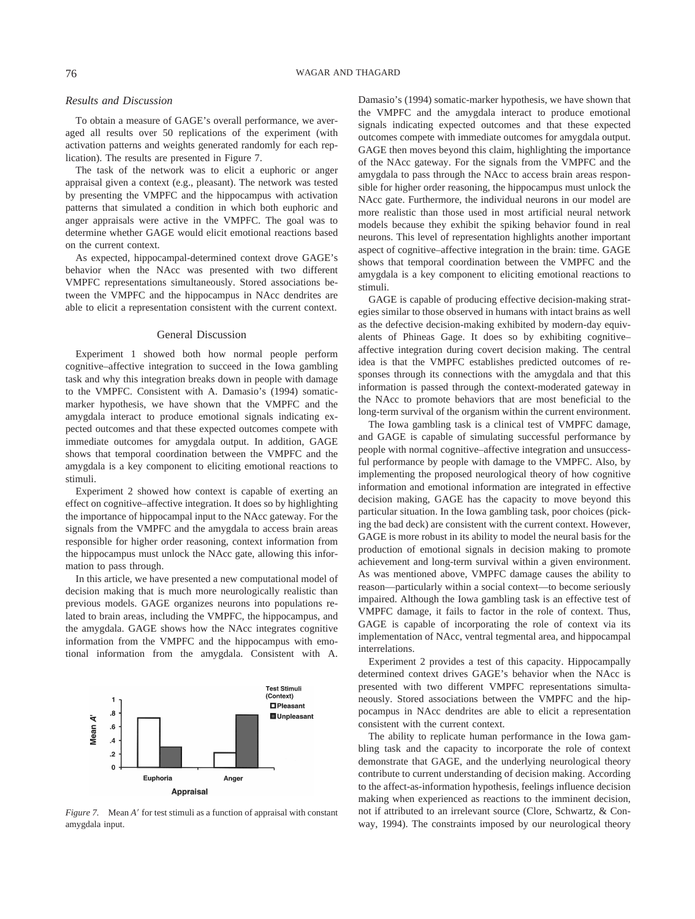## *Results and Discussion*

To obtain a measure of GAGE's overall performance, we averaged all results over 50 replications of the experiment (with activation patterns and weights generated randomly for each replication). The results are presented in Figure 7.

The task of the network was to elicit a euphoric or anger appraisal given a context (e.g., pleasant). The network was tested by presenting the VMPFC and the hippocampus with activation patterns that simulated a condition in which both euphoric and anger appraisals were active in the VMPFC. The goal was to determine whether GAGE would elicit emotional reactions based on the current context.

As expected, hippocampal-determined context drove GAGE's behavior when the NAcc was presented with two different VMPFC representations simultaneously. Stored associations between the VMPFC and the hippocampus in NAcc dendrites are able to elicit a representation consistent with the current context.

#### General Discussion

Experiment 1 showed both how normal people perform cognitive–affective integration to succeed in the Iowa gambling task and why this integration breaks down in people with damage to the VMPFC. Consistent with A. Damasio's (1994) somaticmarker hypothesis, we have shown that the VMPFC and the amygdala interact to produce emotional signals indicating expected outcomes and that these expected outcomes compete with immediate outcomes for amygdala output. In addition, GAGE shows that temporal coordination between the VMPFC and the amygdala is a key component to eliciting emotional reactions to stimuli.

Experiment 2 showed how context is capable of exerting an effect on cognitive–affective integration. It does so by highlighting the importance of hippocampal input to the NAcc gateway. For the signals from the VMPFC and the amygdala to access brain areas responsible for higher order reasoning, context information from the hippocampus must unlock the NAcc gate, allowing this information to pass through.

In this article, we have presented a new computational model of decision making that is much more neurologically realistic than previous models. GAGE organizes neurons into populations related to brain areas, including the VMPFC, the hippocampus, and the amygdala. GAGE shows how the NAcc integrates cognitive information from the VMPFC and the hippocampus with emotional information from the amygdala. Consistent with A.



Figure 7. Mean A' for test stimuli as a function of appraisal with constant amygdala input.

Damasio's (1994) somatic-marker hypothesis, we have shown that the VMPFC and the amygdala interact to produce emotional signals indicating expected outcomes and that these expected outcomes compete with immediate outcomes for amygdala output. GAGE then moves beyond this claim, highlighting the importance of the NAcc gateway. For the signals from the VMPFC and the amygdala to pass through the NAcc to access brain areas responsible for higher order reasoning, the hippocampus must unlock the NAcc gate. Furthermore, the individual neurons in our model are more realistic than those used in most artificial neural network models because they exhibit the spiking behavior found in real neurons. This level of representation highlights another important aspect of cognitive–affective integration in the brain: time. GAGE shows that temporal coordination between the VMPFC and the amygdala is a key component to eliciting emotional reactions to stimuli.

GAGE is capable of producing effective decision-making strategies similar to those observed in humans with intact brains as well as the defective decision-making exhibited by modern-day equivalents of Phineas Gage. It does so by exhibiting cognitive– affective integration during covert decision making. The central idea is that the VMPFC establishes predicted outcomes of responses through its connections with the amygdala and that this information is passed through the context-moderated gateway in the NAcc to promote behaviors that are most beneficial to the long-term survival of the organism within the current environment.

The Iowa gambling task is a clinical test of VMPFC damage, and GAGE is capable of simulating successful performance by people with normal cognitive–affective integration and unsuccessful performance by people with damage to the VMPFC. Also, by implementing the proposed neurological theory of how cognitive information and emotional information are integrated in effective decision making, GAGE has the capacity to move beyond this particular situation. In the Iowa gambling task, poor choices (picking the bad deck) are consistent with the current context. However, GAGE is more robust in its ability to model the neural basis for the production of emotional signals in decision making to promote achievement and long-term survival within a given environment. As was mentioned above, VMPFC damage causes the ability to reason—particularly within a social context—to become seriously impaired. Although the Iowa gambling task is an effective test of VMPFC damage, it fails to factor in the role of context. Thus, GAGE is capable of incorporating the role of context via its implementation of NAcc, ventral tegmental area, and hippocampal interrelations.

Experiment 2 provides a test of this capacity. Hippocampally determined context drives GAGE's behavior when the NAcc is presented with two different VMPFC representations simultaneously. Stored associations between the VMPFC and the hippocampus in NAcc dendrites are able to elicit a representation consistent with the current context.

The ability to replicate human performance in the Iowa gambling task and the capacity to incorporate the role of context demonstrate that GAGE, and the underlying neurological theory contribute to current understanding of decision making. According to the affect-as-information hypothesis, feelings influence decision making when experienced as reactions to the imminent decision, not if attributed to an irrelevant source (Clore, Schwartz, & Conway, 1994). The constraints imposed by our neurological theory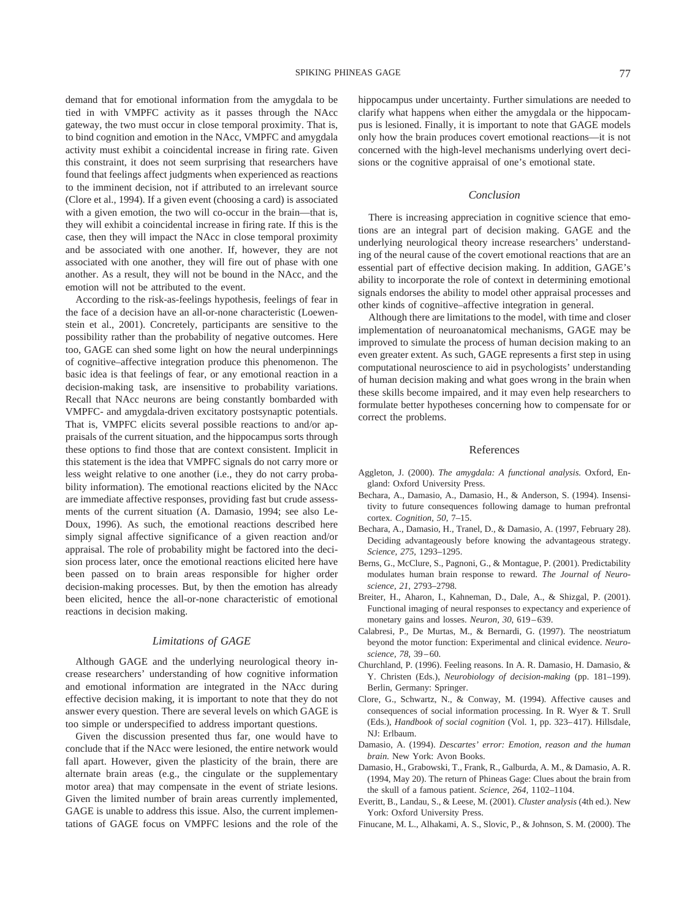demand that for emotional information from the amygdala to be tied in with VMPFC activity as it passes through the NAcc gateway, the two must occur in close temporal proximity. That is, to bind cognition and emotion in the NAcc, VMPFC and amygdala activity must exhibit a coincidental increase in firing rate. Given this constraint, it does not seem surprising that researchers have found that feelings affect judgments when experienced as reactions to the imminent decision, not if attributed to an irrelevant source (Clore et al., 1994). If a given event (choosing a card) is associated with a given emotion, the two will co-occur in the brain—that is, they will exhibit a coincidental increase in firing rate. If this is the case, then they will impact the NAcc in close temporal proximity and be associated with one another. If, however, they are not associated with one another, they will fire out of phase with one another. As a result, they will not be bound in the NAcc, and the emotion will not be attributed to the event.

According to the risk-as-feelings hypothesis, feelings of fear in the face of a decision have an all-or-none characteristic (Loewenstein et al., 2001). Concretely, participants are sensitive to the possibility rather than the probability of negative outcomes. Here too, GAGE can shed some light on how the neural underpinnings of cognitive–affective integration produce this phenomenon. The basic idea is that feelings of fear, or any emotional reaction in a decision-making task, are insensitive to probability variations. Recall that NAcc neurons are being constantly bombarded with VMPFC- and amygdala-driven excitatory postsynaptic potentials. That is, VMPFC elicits several possible reactions to and/or appraisals of the current situation, and the hippocampus sorts through these options to find those that are context consistent. Implicit in this statement is the idea that VMPFC signals do not carry more or less weight relative to one another (i.e., they do not carry probability information). The emotional reactions elicited by the NAcc are immediate affective responses, providing fast but crude assessments of the current situation (A. Damasio, 1994; see also Le-Doux, 1996). As such, the emotional reactions described here simply signal affective significance of a given reaction and/or appraisal. The role of probability might be factored into the decision process later, once the emotional reactions elicited here have been passed on to brain areas responsible for higher order decision-making processes. But, by then the emotion has already been elicited, hence the all-or-none characteristic of emotional reactions in decision making.

### *Limitations of GAGE*

Although GAGE and the underlying neurological theory increase researchers' understanding of how cognitive information and emotional information are integrated in the NAcc during effective decision making, it is important to note that they do not answer every question. There are several levels on which GAGE is too simple or underspecified to address important questions.

Given the discussion presented thus far, one would have to conclude that if the NAcc were lesioned, the entire network would fall apart. However, given the plasticity of the brain, there are alternate brain areas (e.g., the cingulate or the supplementary motor area) that may compensate in the event of striate lesions. Given the limited number of brain areas currently implemented, GAGE is unable to address this issue. Also, the current implementations of GAGE focus on VMPFC lesions and the role of the hippocampus under uncertainty. Further simulations are needed to clarify what happens when either the amygdala or the hippocampus is lesioned. Finally, it is important to note that GAGE models only how the brain produces covert emotional reactions—it is not concerned with the high-level mechanisms underlying overt decisions or the cognitive appraisal of one's emotional state.

#### *Conclusion*

There is increasing appreciation in cognitive science that emotions are an integral part of decision making. GAGE and the underlying neurological theory increase researchers' understanding of the neural cause of the covert emotional reactions that are an essential part of effective decision making. In addition, GAGE's ability to incorporate the role of context in determining emotional signals endorses the ability to model other appraisal processes and other kinds of cognitive–affective integration in general.

Although there are limitations to the model, with time and closer implementation of neuroanatomical mechanisms, GAGE may be improved to simulate the process of human decision making to an even greater extent. As such, GAGE represents a first step in using computational neuroscience to aid in psychologists' understanding of human decision making and what goes wrong in the brain when these skills become impaired, and it may even help researchers to formulate better hypotheses concerning how to compensate for or correct the problems.

#### References

- Aggleton, J. (2000). *The amygdala: A functional analysis.* Oxford, England: Oxford University Press.
- Bechara, A., Damasio, A., Damasio, H., & Anderson, S. (1994). Insensitivity to future consequences following damage to human prefrontal cortex. *Cognition, 50,* 7–15.
- Bechara, A., Damasio, H., Tranel, D., & Damasio, A. (1997, February 28). Deciding advantageously before knowing the advantageous strategy. *Science, 275,* 1293–1295.
- Berns, G., McClure, S., Pagnoni, G., & Montague, P. (2001). Predictability modulates human brain response to reward. *The Journal of Neuroscience, 21,* 2793–2798.
- Breiter, H., Aharon, I., Kahneman, D., Dale, A., & Shizgal, P. (2001). Functional imaging of neural responses to expectancy and experience of monetary gains and losses. *Neuron, 30,* 619–639.
- Calabresi, P., De Murtas, M., & Bernardi, G. (1997). The neostriatum beyond the motor function: Experimental and clinical evidence. *Neuroscience, 78,* 39–60.
- Churchland, P. (1996). Feeling reasons. In A. R. Damasio, H. Damasio, & Y. Christen (Eds.), *Neurobiology of decision-making* (pp. 181–199). Berlin, Germany: Springer.
- Clore, G., Schwartz, N., & Conway, M. (1994). Affective causes and consequences of social information processing. In R. Wyer & T. Srull (Eds.), *Handbook of social cognition* (Vol. 1, pp. 323–417). Hillsdale, NJ: Erlbaum.
- Damasio, A. (1994). *Descartes' error: Emotion, reason and the human brain.* New York: Avon Books.
- Damasio, H., Grabowski, T., Frank, R., Galburda, A. M., & Damasio, A. R. (1994, May 20). The return of Phineas Gage: Clues about the brain from the skull of a famous patient. *Science, 264,* 1102–1104.
- Everitt, B., Landau, S., & Leese, M. (2001). *Cluster analysis* (4th ed.). New York: Oxford University Press.
- Finucane, M. L., Alhakami, A. S., Slovic, P., & Johnson, S. M. (2000). The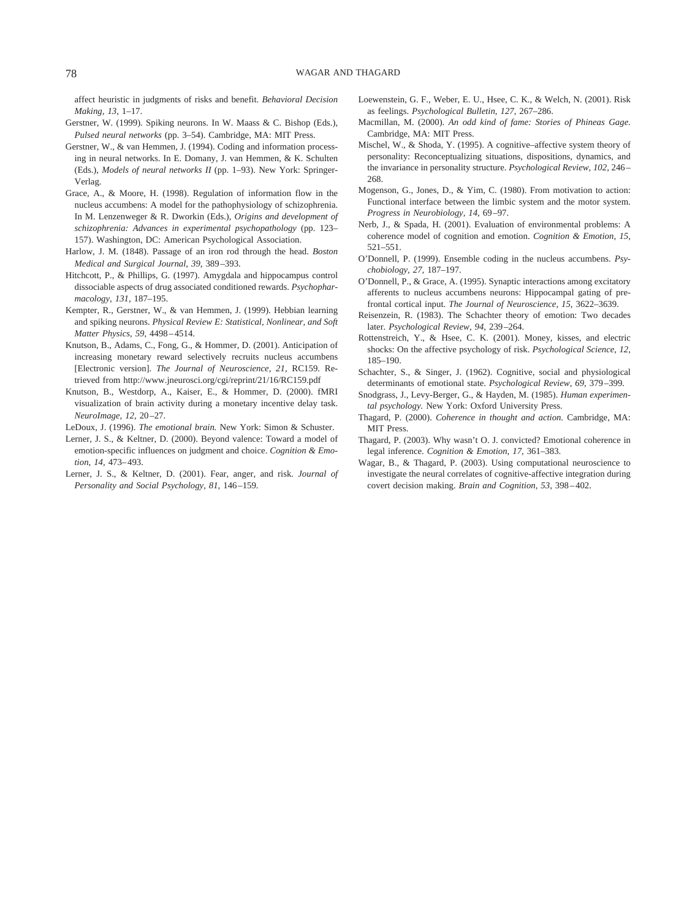affect heuristic in judgments of risks and benefit. *Behavioral Decision Making, 13,* 1–17.

- Gerstner, W. (1999). Spiking neurons. In W. Maass & C. Bishop (Eds.), *Pulsed neural networks* (pp. 3–54). Cambridge, MA: MIT Press.
- Gerstner, W., & van Hemmen, J. (1994). Coding and information processing in neural networks. In E. Domany, J. van Hemmen, & K. Schulten (Eds.), *Models of neural networks II* (pp. 1–93). New York: Springer-Verlag.
- Grace, A., & Moore, H. (1998). Regulation of information flow in the nucleus accumbens: A model for the pathophysiology of schizophrenia. In M. Lenzenweger & R. Dworkin (Eds.), *Origins and development of schizophrenia: Advances in experimental psychopathology* (pp. 123– 157). Washington, DC: American Psychological Association.
- Harlow, J. M. (1848). Passage of an iron rod through the head. *Boston Medical and Surgical Journal, 39,* 389–393.
- Hitchcott, P., & Phillips, G. (1997). Amygdala and hippocampus control dissociable aspects of drug associated conditioned rewards. *Psychopharmacology, 131,* 187–195.
- Kempter, R., Gerstner, W., & van Hemmen, J. (1999). Hebbian learning and spiking neurons. *Physical Review E: Statistical, Nonlinear, and Soft Matter Physics, 59,* 4498–4514.
- Knutson, B., Adams, C., Fong, G., & Hommer, D. (2001). Anticipation of increasing monetary reward selectively recruits nucleus accumbens [Electronic version]. *The Journal of Neuroscience, 21,* RC159. Retrieved from http://www.jneurosci.org/cgi/reprint/21/16/RC159.pdf
- Knutson, B., Westdorp, A., Kaiser, E., & Hommer, D. (2000). fMRI visualization of brain activity during a monetary incentive delay task. *NeuroImage, 12,* 20–27.
- LeDoux, J. (1996). *The emotional brain.* New York: Simon & Schuster.
- Lerner, J. S., & Keltner, D. (2000). Beyond valence: Toward a model of emotion-specific influences on judgment and choice. *Cognition & Emotion, 14,* 473–493.
- Lerner, J. S., & Keltner, D. (2001). Fear, anger, and risk. *Journal of Personality and Social Psychology, 81,* 146–159.
- Loewenstein, G. F., Weber, E. U., Hsee, C. K., & Welch, N. (2001). Risk as feelings. *Psychological Bulletin, 127,* 267–286.
- Macmillan, M. (2000). *An odd kind of fame: Stories of Phineas Gage.* Cambridge, MA: MIT Press.
- Mischel, W., & Shoda, Y. (1995). A cognitive–affective system theory of personality: Reconceptualizing situations, dispositions, dynamics, and the invariance in personality structure. *Psychological Review, 102,* 246– 268.
- Mogenson, G., Jones, D., & Yim, C. (1980). From motivation to action: Functional interface between the limbic system and the motor system. *Progress in Neurobiology, 14,* 69–97.
- Nerb, J., & Spada, H. (2001). Evaluation of environmental problems: A coherence model of cognition and emotion. *Cognition & Emotion, 15,* 521–551.
- O'Donnell, P. (1999). Ensemble coding in the nucleus accumbens. *Psychobiology, 27,* 187–197.
- O'Donnell, P., & Grace, A. (1995). Synaptic interactions among excitatory afferents to nucleus accumbens neurons: Hippocampal gating of prefrontal cortical input. *The Journal of Neuroscience, 15,* 3622–3639.
- Reisenzein, R. (1983). The Schachter theory of emotion: Two decades later. *Psychological Review, 94,* 239–264.
- Rottenstreich, Y., & Hsee, C. K. (2001). Money, kisses, and electric shocks: On the affective psychology of risk. *Psychological Science, 12,* 185–190.
- Schachter, S., & Singer, J. (1962). Cognitive, social and physiological determinants of emotional state. *Psychological Review, 69,* 379–399.
- Snodgrass, J., Levy-Berger, G., & Hayden, M. (1985). *Human experimental psychology.* New York: Oxford University Press.
- Thagard, P. (2000). *Coherence in thought and action.* Cambridge, MA: MIT Press.
- Thagard, P. (2003). Why wasn't O. J. convicted? Emotional coherence in legal inference. *Cognition & Emotion, 17,* 361–383.
- Wagar, B., & Thagard, P. (2003). Using computational neuroscience to investigate the neural correlates of cognitive-affective integration during covert decision making. *Brain and Cognition, 53,* 398–402.